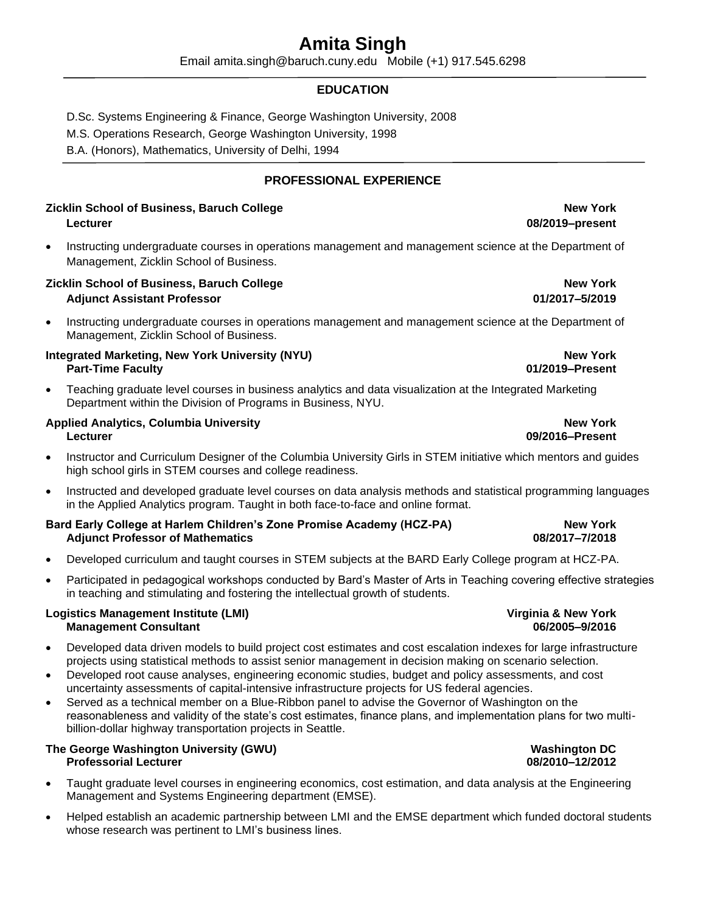## **Amita Singh**

Email amita.singh@baruch.cuny.edu Mobile (+1) 917.545.6298

### **EDUCATION**

D.Sc. Systems Engineering & Finance, George Washington University, 2008

M.S. Operations Research, George Washington University, 1998

B.A. (Honors), Mathematics, University of Delhi, 1994

### **PROFESSIONAL EXPERIENCE**

### **Zicklin School of Business, Baruch College New York Lecturer 08/2019–present**

• Instructing undergraduate courses in operations management and management science at the Department of Management, Zicklin School of Business.

### **Zicklin School of Business, Baruch College New York Adjunct Assistant Professor 01/2017–5/2019**

• Instructing undergraduate courses in operations management and management science at the Department of Management, Zicklin School of Business.

### **Integrated Marketing, New York University (NYU) New York Part-Time Faculty 01/2019–Present**

• Teaching graduate level courses in business analytics and data visualization at the Integrated Marketing Department within the Division of Programs in Business, NYU.

### **Applied Analytics, Columbia University New York Lecturer 09/2016–Present**

- Instructor and Curriculum Designer of the Columbia University Girls in STEM initiative which mentors and guides high school girls in STEM courses and college readiness.
- Instructed and developed graduate level courses on data analysis methods and statistical programming languages in the Applied Analytics program. Taught in both face-to-face and online format.

### **Bard Early College at Harlem Children's Zone Promise Academy (HCZ-PA) New York Adjunct Professor of Mathematics 08/2017–7/2018**

- Developed curriculum and taught courses in STEM subjects at the BARD Early College program at HCZ-PA.
- Participated in pedagogical workshops conducted by Bard's Master of Arts in Teaching covering effective strategies in teaching and stimulating and fostering the intellectual growth of students.

### **Logistics Management Institute (LMI) Virginia & New York Management Consultant 06/2005–9/2016**

- Developed data driven models to build project cost estimates and cost escalation indexes for large infrastructure projects using statistical methods to assist senior management in decision making on scenario selection.
- Developed root cause analyses, engineering economic studies, budget and policy assessments, and cost uncertainty assessments of capital-intensive infrastructure projects for US federal agencies.
- Served as a technical member on a Blue-Ribbon panel to advise the Governor of Washington on the reasonableness and validity of the state's cost estimates, finance plans, and implementation plans for two multibillion-dollar highway transportation projects in Seattle.

### **The George Washington University (GWU) Washington DC Professorial Lecturer 08/2010–12/2012**

- Taught graduate level courses in engineering economics, cost estimation, and data analysis at the Engineering Management and Systems Engineering department (EMSE).
- Helped establish an academic partnership between LMI and the EMSE department which funded doctoral students whose research was pertinent to LMI's business lines.